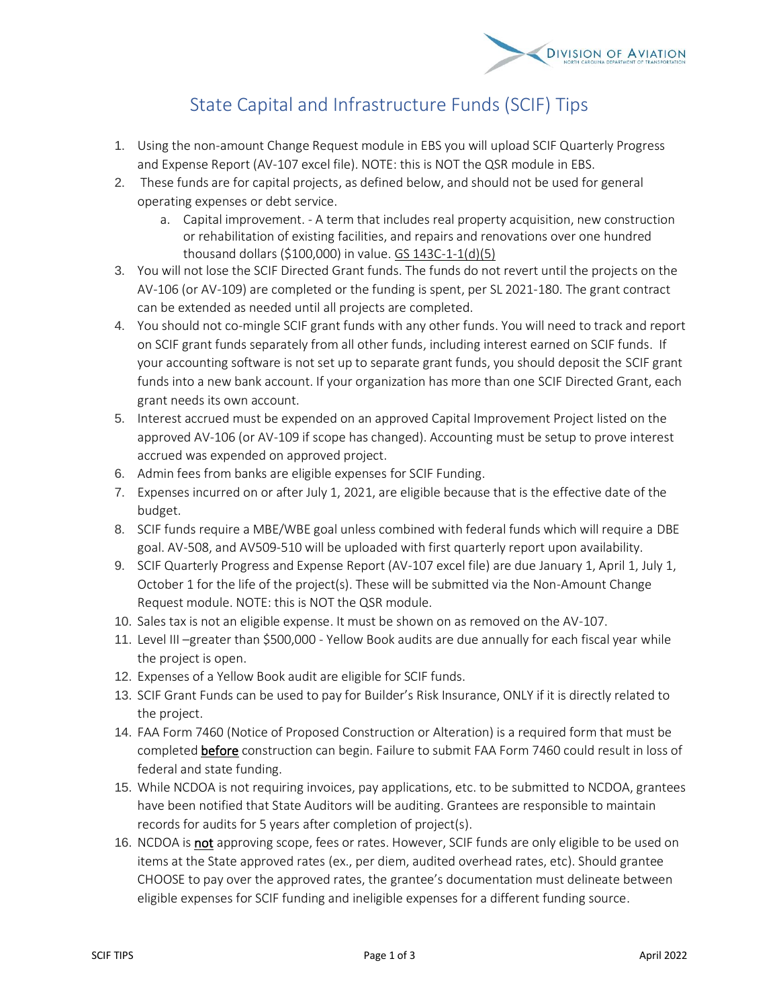

## State Capital and Infrastructure Funds (SCIF) Tips

- 1. Using the non-amount Change Request module in EBS you will upload SCIF Quarterly Progress and Expense Report (AV-107 excel file). NOTE: this is NOT the QSR module in EBS.
- 2. These funds are for capital projects, as defined below, and should not be used for general operating expenses or debt service.
	- a. Capital improvement. A term that includes real property acquisition, new construction or rehabilitation of existing facilities, and repairs and renovations over one hundred thousand dollars (\$100,000) in value. [GS 143C-1-1\(d\)\(5\)](https://www.ncleg.gov/EnactedLegislation/Statutes/HTML/BySection/Chapter_143C/GS_143C-1-1.html)
- 3. You will not lose the SCIF Directed Grant funds. The funds do not revert until the projects on the AV-106 (or AV-109) are completed or the funding is spent, per SL 2021-180. The grant contract can be extended as needed until all projects are completed.
- 4. You should not co-mingle SCIF grant funds with any other funds. You will need to track and report on SCIF grant funds separately from all other funds, including interest earned on SCIF funds. If your accounting software is not set up to separate grant funds, you should deposit the SCIF grant funds into a new bank account. If your organization has more than one SCIF Directed Grant, each grant needs its own account.
- 5. Interest accrued must be expended on an approved Capital Improvement Project listed on the approved AV-106 (or AV-109 if scope has changed). Accounting must be setup to prove interest accrued was expended on approved project.
- 6. Admin fees from banks are eligible expenses for SCIF Funding.
- 7. Expenses incurred on or after July 1, 2021, are eligible because that is the effective date of the budget.
- 8. SCIF funds require a MBE/WBE goal unless combined with federal funds which will require a DBE goal. AV-508, and AV509-510 will be uploaded with first quarterly report upon availability.
- 9. SCIF Quarterly Progress and Expense Report (AV-107 excel file) are due January 1, April 1, July 1, October 1 for the life of the project(s). These will be submitted via the Non-Amount Change Request module. NOTE: this is NOT the QSR module.
- 10. Sales tax is not an eligible expense. It must be shown on as removed on the AV-107.
- 11. Level III –greater than \$500,000 Yellow Book audits are due annually for each fiscal year while the project is open.
- 12. Expenses of a Yellow Book audit are eligible for SCIF funds.
- 13. SCIF Grant Funds can be used to pay for Builder's Risk Insurance, ONLY if it is directly related to the project.
- 14. FAA Form 7460 (Notice of Proposed Construction or Alteration) is a required form that must be completed before construction can begin. Failure to submit FAA Form 7460 could result in loss of federal and state funding.
- 15. While NCDOA is not requiring invoices, pay applications, etc. to be submitted to NCDOA, grantees have been notified that State Auditors will be auditing. Grantees are responsible to maintain records for audits for 5 years after completion of project(s).
- 16. NCDOA is not approving scope, fees or rates. However, SCIF funds are only eligible to be used on items at the State approved rates (ex., per diem, audited overhead rates, etc). Should grantee CHOOSE to pay over the approved rates, the grantee's documentation must delineate between eligible expenses for SCIF funding and ineligible expenses for a different funding source.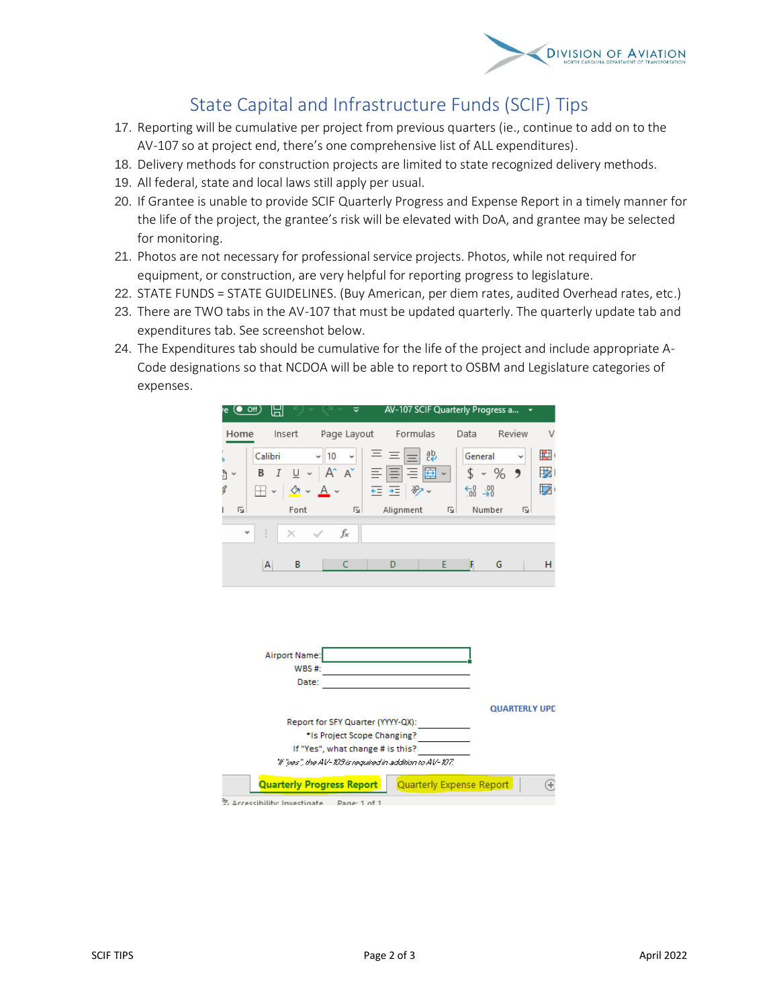

## State Capital and Infrastructure Funds (SCIF) Tips

- 17. Reporting will be cumulative per project from previous quarters (ie., continue to add on to the AV-107 so at project end, there's one comprehensive list of ALL expenditures).
- 18. Delivery methods for construction projects are limited to state recognized delivery methods.
- 19. All federal, state and local laws still apply per usual.
- 20. If Grantee is unable to provide SCIF Quarterly Progress and Expense Report in a timely manner for the life of the project, the grantee's risk will be elevated with DoA, and grantee may be selected for monitoring.
- 21. Photos are not necessary for professional service projects. Photos, while not required for equipment, or construction, are very helpful for reporting progress to legislature.
- 22. STATE FUNDS = STATE GUIDELINES. (Buy American, per diem rates, audited Overhead rates, etc.)
- 23. There are TWO tabs in the AV-107 that must be updated quarterly. The quarterly update tab and expenditures tab. See screenshot below.
- 24. The Expenditures tab should be cumulative for the life of the project and include appropriate A-Code designations so that NCDOA will be able to report to OSBM and Legislature categories of expenses.

| re.    | $(•$ Off)<br>님       |                                         | ≂                                |                                                                                                                              |                          |                                          | AV-107 SCIF Quarterly Progress a * |               |
|--------|----------------------|-----------------------------------------|----------------------------------|------------------------------------------------------------------------------------------------------------------------------|--------------------------|------------------------------------------|------------------------------------|---------------|
| Home   |                      | Insert                                  | Page Layout                      | Formulas                                                                                                                     |                          | Data                                     | Review                             | V             |
| ₫<br>Ŝ | Calibri<br>В<br>HI v | $\sqrt{2}$ $\sim$ $\frac{A}{A}$ $\sim$  | 10                               | $I \cup \cdot  A \times   \equiv   \equiv   \equiv   \equiv \vee  $<br>$E = \frac{1}{2}$                                     | ᇕ<br>∣ ∛≫ ~              | General<br>$\frac{1}{60}$ $\frac{1}{20}$ | v<br>$$4.96$ 9                     | ■<br>້<br>LZ. |
| Ŀ      |                      | Font                                    | 同一                               | Alignment                                                                                                                    | 同                        |                                          | Number<br>ΙZΙ.                     |               |
|        |                      | $\times$                                | fx                               |                                                                                                                              |                          |                                          |                                    |               |
|        | А                    | B                                       | Ċ                                | D                                                                                                                            | E                        | F                                        | G                                  | н             |
|        |                      | <b>Airport Name:</b><br>WBS #:<br>Date: |                                  | Report for SFY Quarter (YYYY-QX):                                                                                            |                          |                                          | <b>QUARTERLY UPD</b>               |               |
|        |                      |                                         |                                  | *Is Project Scope Changing?<br>If "Yes", what change # is this?<br>"If "pes", the AV-109 is required in addition to AV-107." |                          |                                          |                                    |               |
|        |                      |                                         | <b>Quarterly Progress Report</b> |                                                                                                                              | Quarterly Expense Report |                                          |                                    | E             |
|        |                      | 2 Accessibility Investigate             | Page: 1 of 1                     |                                                                                                                              |                          |                                          |                                    |               |